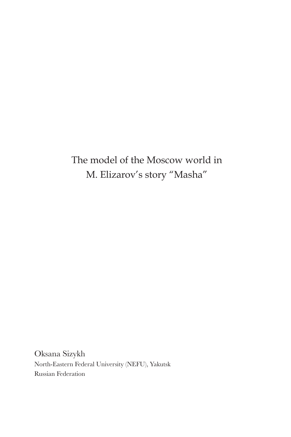# The model of the Moscow world in M. Elizarov's story "Masha"

Oksana Sizykh North-Eastern Federal University (NEFU), YakutskRussian Federation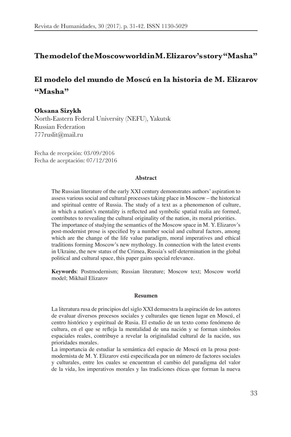## **The model of the Moscow world in M. Elizarov's story "Masha"**

# **El modelo del mundo de Moscú en la historia de M. Elizarov "Masha"**

#### **Oksana Sizykh**

North-Eastern Federal University (NEFU), YakutskRussian Federation777ruslit@mail.ru

Fecha de recepción: 03/09/2016Fecha de aceptación: 07/12/2016

#### **Abstract**

The Russian literature of the early XXI century demonstrates authors' aspiration to assess various social and cultural processes taking place in Moscow – the historical and spiritual centre of Russia. The study of a text as a phenomenon of culture, in which a nation's mentality is reflected and symbolic spatial realia are formed, contributes to revealing the cultural originality of the nation, its moral priorities. The importance of studying the semantics of the Moscow space in M. Y. Elizarov's post-modernist prose is specified by a number social and cultural factors, among which are the change of the life value paradigm, moral imperatives and ethical traditions forming Moscow's new mythology. In connection with the latest events in Ukraine, the new status of the Crimea, Russia's self-determination in the global political and cultural space, this paper gains special relevance.

**Keywords**: Postmodernism; Russian literature; Moscow text; Moscow world model; Mikhail Elizarov

#### **Resumen**

La literatura rusa de principios del siglo XXI demuestra la aspiración de los autores de evaluar diversos procesos sociales y culturales que tienen lugar en Moscú, el centro histórico y espiritual de Rusia. El estudio de un texto como fenómeno de cultura, en el que se refleja la mentalidad de una nación y se forman símbolos espaciales reales, contribuye a revelar la originalidad cultural de la nación, sus prioridades morales.

La importancia de estudiar la semántica del espacio de Moscú en la prosa postmodernista de M. Y. Elizarov está especificada por un número de factores sociales y culturales, entre los cuales se encuentran el cambio del paradigma del valor de la vida, los imperativos morales y las tradiciones éticas que forman la nueva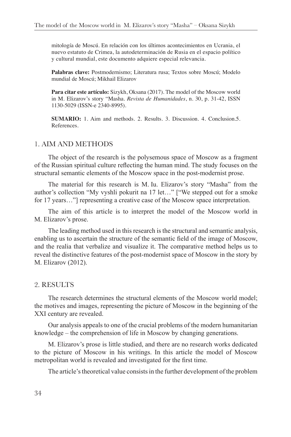mitología de Moscú. En relación con los últimos acontecimientos en Ucrania, el nuevo estatuto de Crimea, la autodeterminación de Rusia en el espacio político y cultural mundial, este documento adquiere especial relevancia.

Palabras clave: Postmodernismo; Literatura rusa; Textos sobre Moscú; Modelo mundial de Moscú; Mikhail Elizarov

**Para citar este artículo:** Sizykh, Oksana (2017). The model of the Moscow world in M. Elizarov's story "Masha. *Revista de Humanidades*, n. 30, p. 31-42, ISSN 1130-5029 (ISSN-e 2340-8995).

**SUMARIO:** 1. Aim and methods. 2. Results. 3. Discussion. 4. Conclusion.5. References.

#### 1. AIM AND METHODS

The object of the research is the polysemous space of Moscow as a fragmentof the Russian spiritual culture reflecting the human mind. The study focuses on the structural semantic elements of the Moscow space in the post-modernist prose.

The material for this research is M. Iu. Elizarov's story "Masha" from the author's collection "My vyshli pokurit na 17 let..." ["We stepped out for a smoke for 17 years..." representing a creative case of the Moscow space interpretation.

The aim of this article is to interpret the model of the Moscow world in M. Elizarov's prose.

The leading method used in this research is the structural and semantic analysis, enabling us to ascertain the structure of the semantic field of the image of Moscow, and the realia that verbalize and visualize it. The comparative method helps us to reveal the distinctive features of the post-modernist space of Moscow in the story by M. Elizarov (2012).

#### 2. RESULTS

The research determines the structural elements of the Moscow world model; the motives and images, representing the picture of Moscow in the beginning of the XXI century are revealed.

Our analysis appeals to one of the crucial problems of the modern humanitarian knowledge – the comprehension of life in Moscow by changing generations.

M. Elizarov's prose is little studied, and there are no research works dedicated to the picture of Moscow in his writings. In this article the model of Moscow metropolitan world is revealed and investigated for the first time.

The article's theoretical value consists in the further development of the problem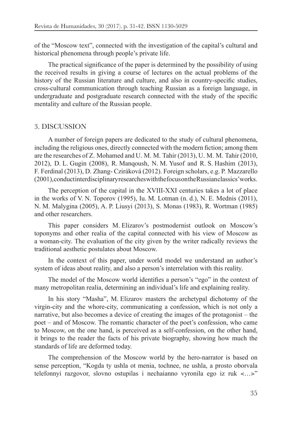of the "Moscow text", connected with the investigation of the capital's cultural and historical phenomena through people's private life.

The practical significance of the paper is determined by the possibility of using the received results in giving a course of lectures on the actual problems of the history of the Russian literature and culture, and also in country-specific studies, cross-cultural communication through teaching Russian as a foreign language, in undergraduate and postgraduate research connected with the study of the specific mentality and culture of the Russian people.

## 3. DISCUSSION

A number of foreign papers are dedicated to the study of cultural phenomena, including the religious ones, directly connected with the modern fiction; among them are the researches of Z. Mohamed and U. M. M. Tahir (2013), U. M. M. Tahir (2010, 2012), D. L. Gugin (2008), R. Manqoush, N. M. Yusof and R. S. Hashim (2013), F. Ferdinal (2013), D. Zhang-Cziráková (2012). Foreign scholars, e.g. P. Mazzarello (2001), conduct interdisciplinary researches with the focus on the Russian classics' works.

The perception of the capital in the XVIII-XXI centuries takes a lot of place in the works of V. N. Toporov (1995), Iu. M. Lotman (n. d.), N. E. Mednis (2011), N. M. Malygina (2005), A. P. Liusyi (2013), S. Monas (1983), R. Wortman (1985) and other researchers.

This paper considers M. Elizarov's postmodernist outlook on Moscow's toponyms and other realia of the capital connected with his view of Moscow as a woman-city. The evaluation of the city given by the writer radically reviews the traditional aesthetic postulates about Moscow.

In the context of this paper, under world model we understand an author's system of ideas about reality, and also a person's interrelation with this reality.

The model of the Moscow world identifies a person's "ego" in the context of many metropolitan realia, determining an individual's life and explaining reality.

In his story "Masha", M. Elizarov masters the archetypal dichotomy of the virgin-city and the whore-city, communicating a confession, which is not only a narrative, but also becomes a device of creating the images of the protagonist – the poet – and of Moscow. The romantic character of the poet's confession, who came to Moscow, on the one hand, is perceived as a self-confession, on the other hand, it brings to the reader the facts of his private biography, showing how much the standards of life are deformed today.

The comprehension of the Moscow world by the hero-narrator is based on sense perception, "Kogda ty ushla ot menia, tochnee, ne ushla, a prosto oborvala telefonnyi razgovor, slovno ostupilas i nechaianno vyronila ego iz ruk <...>"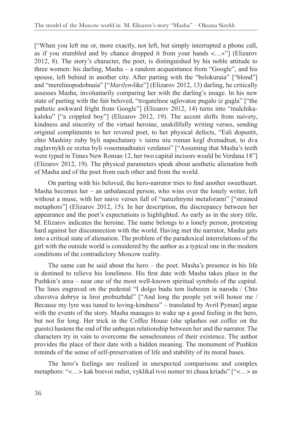["When you left me or, more exactly, not left, but simply interrupted a phone call, as if you stumbled and by chance dropped it from your hands  $\lt$ ... >"] (Elizarov 2012, 8). The story's character, the poet, is distinguished by his noble attitude to three women: his darling, Masha – a random acquaintance from "Google", and his spouse, left behind in another city. After parting with the "belokuraia" ["blond"] and "merelinopodobnaia" ["*Marilyn*-like"] (Elizarov 2012, 13) darling, he critically assesses Masha, involuntarily comparing her with the darling's image. In his new state of parting with the fair beloved, "trogatelnoe uglovatoe pugalo iz gugla" ["the pathetic awkward fright from Google"] (Elizarov 2012, 14) turns into "malchikakaleku" ["a crippled boy"] (Elizarov 2012, 19). The accent shifts from naivety, kindness and sincerity of the virtual heroine, unskillfully writing verses, sending original compliments to her revered poet, to her physical defects, "Esli dopustit, chto Mashiny zuby byli napechatany v taims niu roman kegl dvenadtsat, to dva zaglavnykh ee reztsa byli vosemnadtsatoi verdanoi" ["Assuming that Masha's teeth were typed in Times New Roman 12, her two capital incisors would be Verdana 18"] (Elizarov 2012, 19). The physical parameters speak about aesthetic alienation both of Masha and of the poet from each other and from the world.

On parting with his beloved, the hero-narrator tries to find another sweetheart. Masha becomes her – an unbalanced person, who wins over the lonely writer, left without a muse, with her naive verses full of "natuzhnymi metaforami" ["strained"] metaphors"] (Elizarov 2012, 15). In her description, the discrepancy between her appearance and the poet's expectations is highlighted. As early as in the story title, M. Elizarov indicates the heroine. The name belongs to a lonely person, protesting hard against her disconnection with the world. Having met the narrator, Masha gets into a critical state of alienation. The problem of the paradoxical interrelations of the girl with the outside world is considered by the author as a typical one in the modern conditions of the contradictory Moscow reality.

The same can be said about the hero  $-$  the poet. Masha's presence in his life is destined to relieve his loneliness. His first date with Masha takes place in the Pushkin's area – near one of the most well-known spiritual symbols of the capital. The lines engraved on the pedestal "I dolgo budu tem liubezen ia narodu / Chto chuvstva dobrye ia liroi probuzhdal" ["And long the people yet will honor me / Because my lyre was tuned to loving-kindness" – translated by Avril Pyman] argue with the events of the story. Masha manages to wake up a good feeling in the hero, but not for long. Her trick in the Coffee House (she splashes out coffee on the guests) hastens the end of the unbegun relationship between her and the narrator. The characters try in vain to overcome the senselessness of their existence. The author provides the place of their date with a hidden meaning. The monument of Pushkin reminds of the sense of self-preservation of life and stability of its moral bases.

The hero's feelings are realized in unexpected comparisons and complex metaphors: "<...> kak boevoi radist, vyklikal tvoi nomer tri chasa kriadu" ["<...> as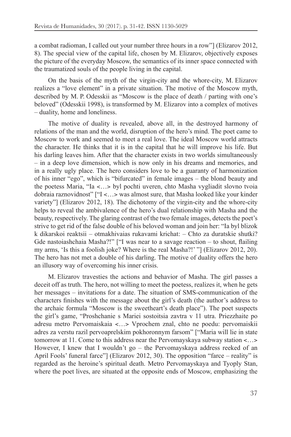a combat radioman, I called out your number three hours in a row"] (Elizarov 2012, 8). The special view of the capital life, chosen by M. Elizarov, objectively exposes the picture of the everyday Moscow, the semantics of its inner space connected with the traumatized souls of the people living in the capital.

On the basis of the myth of the virgin-city and the whore-city, M. Elizarov realizes a "love element" in a private situation. The motive of the Moscow myth, described by M. P. Odesskii as "Moscow is the place of death / parting with one's beloved" (Odesskii 1998), is transformed by M. Elizarov into a complex of motives  $-$  duality, home and loneliness.

The motive of duality is revealed, above all, in the destroyed harmony of relations of the man and the world, disruption of the hero's mind. The poet came to Moscow to work and seemed to meet a real love. The ideal Moscow world attracts the character. He thinks that it is in the capital that he will improve his life. But his darling leaves him. After that the character exists in two worlds simultaneously  $-$  in a deep love dimension, which is now only in his dreams and memories, and in a really ugly place. The hero considers love to be a guaranty of harmonization of his inner "ego", which is "bifurcated" in female images – the blond beauty and the poetess Maria, "Ia <...> byl pochti uveren, chto Masha vygliadit slovno tvoia dobraia raznovidnost" ["I <...> was almost sure, that Masha looked like your kinder variety"] (Elizarov 2012, 18). The dichotomy of the virgin-city and the whore-city helps to reveal the ambivalence of the hero's dual relationship with Masha and the beauty, respectively. The glaring contrast of the two female images, detects the poet's strive to get rid of the false double of his beloved woman and join her: "Ia byl blizok  $k$  dikarskoi reaktsii – otmakhivaias rukavami krichat: – Chto za duratskie shutki? Gde nastoiashchaia Masha?!" ["I was near to a savage reaction  $-$  to shout, flailing my arms, 'Is this a foolish joke? Where is the real Masha?!' "] (Elizarov 2012, 20). The hero has not met a double of his darling. The motive of duality offers the hero an illusory way of overcoming his inner crisis.

M. Elizarov travesties the actions and behavior of Masha. The girl passes a deceit off as truth. The hero, not willing to meet the poetess, realizes it, when he gets her messages – invitations for a date. The situation of SMS-communication of the characters finishes with the message about the girl's death (the author's address to the archaic formula "Moscow is the sweetheart's death place"). The poet suspects the girl's game, "Proshchanie s Mariei sostoitsia zavtra v 11 utra. Priezzhaite po adresu metro Pervomaiskaia <...> Vprochem znal, chto ne poedu: pervomaiskii adres za verstu razil pervoaprelskim pokhoronnym farsom'' ["Maria will lie in state tomorrow at 11. Come to this address near the Pervomayskaya subway station  $\lt$ ... However, I knew that I wouldn't go – the Pervomayskaya address reeked of an April Fools' funeral farce"] (Elizarov 2012, 30). The opposition "farce – reality" is regarded as the heroine's spiritual death. Metro Pervomayskaya and Tyoply Stan, where the poet lives, are situated at the opposite ends of Moscow, emphasizing the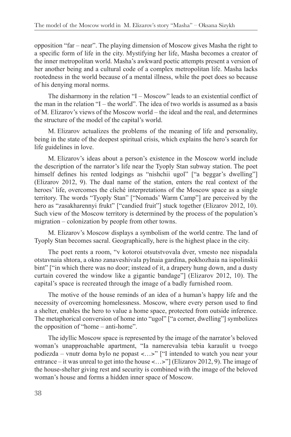opposition "far – near". The playing dimension of Moscow gives Masha the right to a specific form of life in the city. Mystifying her life, Masha becomes a creator of the inner metropolitan world. Masha's awkward poetic attempts present a version of her another being and a cultural code of a complex metropolitan life. Masha lacks rootedness in the world because of a mental illness, while the poet does so because of his denying moral norms.

The disharmony in the relation  $I - M$  Moscow" leads to an existential conflict of the man in the relation "I – the world". The idea of two worlds is assumed as a basis of M. Elizarov's views of the Moscow world – the ideal and the real, and determines the structure of the model of the capital's world.

M. Elizarov actualizes the problems of the meaning of life and personality, being in the state of the deepest spiritual crisis, which explains the hero's search for life guidelines in love.

M. Elizarov's ideas about a person's existence in the Moscow world include the description of the narrator's life near the Tyoply Stan subway station. The poet himself defines his rented lodgings as "nishchii ugol" ["a beggar's dwelling"] (Elizarov 2012, 9). The dual name of the station, enters the real context of the heroes' life, overcomes the cliché interpretations of the Moscow space as a single territory. The words "Tyoply Stan" ["Nomads' Warm Camp"] are perceived by the hero as "zasakharennyi frukt" ["candied fruit"] stuck together (Elizarov 2012, 10). Such view of the Moscow territory is determined by the process of the population's migration – colonization by people from other towns.

M. Elizarov's Moscow displays a symbolism of the world centre. The land of Tyoply Stan becomes sacral. Geographically, here is the highest place in the city.

The poet rents a room, "v kotoroi otsutstvovala dver, vmesto nee nispadala otstavnaia shtora, a okno zanaveshivala pylnaia gardina, pokhozhaia na ispolinskii bint" ["in which there was no door; instead of it, a drapery hung down, and a dusty curtain covered the window like a gigantic bandage"] (Elizarov 2012, 10). The capital's space is recreated through the image of a badly furnished room.

The motive of the house reminds of an idea of a human's happy life and the necessity of overcoming homelessness. Moscow, where every person used to find a shelter, enables the hero to value a home space, protected from outside inference. The metaphorical conversion of home into "ugol" ["a corner, dwelling"] symbolizes the opposition of "home – anti-home".

The idyllic Moscow space is represented by the image of the narrator's beloved woman's unapproachable apartment, "Ia namerevalsia tebia karaulit u tvoego podiezda - vnutr doma bylo ne popast <...>" ["I intended to watch you near your entrance – it was unreal to get into the house <...>" [Elizarov 2012, 9]. The image of the house-shelter giving rest and security is combined with the image of the beloved woman's house and forms a hidden inner space of Moscow.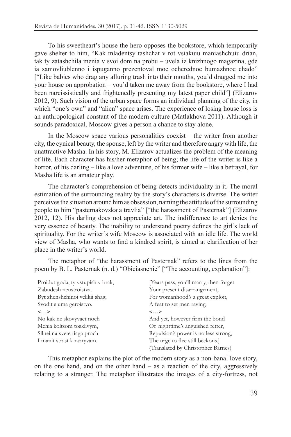To his sweetheart's house the hero opposes the bookstore, which temporarily gave shelter to him, "Kak mladentsy tashchat v rot vsiakuiu maniashchuiu drian, tak ty zatashchila menia v svoi dom na probu – uvela iz knizhnogo magazina, gde ia samovliublenno i ispuganno prezentoval moe ocherednoe bumazhnoe chado" ["Like babies who drag any alluring trash into their mouths, you'd dragged me into your house on approbation – you'd taken me away from the bookstore, where I had been narcissistically and frightenedly presenting my latest paper child"] (Elizarov 2012, 9). Such vision of the urban space forms an individual planning of the city, in which "one's own" and "alien" space arises. The experience of losing house loss is an anthropological constant of the modern culture (Matlakhova 2011). Although it sounds paradoxical, Moscow gives a person a chance to stay alone.

In the Moscow space various personalities coexist  $-$  the writer from another city, the cynical beauty, the spouse, left by the writer and therefore angry with life, the unattractive Masha. In his story, M. Elizarov actualizes the problem of the meaning of life. Each character has his/her metaphor of being; the life of the writer is like a horror, of his darling – like a love adventure, of his former wife – like a betrayal, for Masha life is an amateur play.

The character's comprehension of being detects individuality in it. The moral estimation of the surrounding reality by the story's characters is diverse. The writer perceives the situation around him as obsession, naming the attitude of the surrounding people to him "pasternakovskaia travlia" ["the harassment of Pasternak"] (Elizarov 2012, 12). His darling does not appreciate art. The indifference to art denies the very essence of beauty. The inability to understand poetry defines the girl's lack of spirituality. For the writer's wife Moscow is associated with an idle life. The world view of Masha, who wants to find a kindred spirit, is aimed at clarification of her place in the writer's world.

The metaphor of "the harassment of Pasternak" refers to the lines from the poem by B. L. Pasternak (n. d.) "Obieiasnenie" ["The accounting, explanation"]:

| Proidut goda, ty vstupish v brak, | [Years pass, you'll marry, then forget |
|-----------------------------------|----------------------------------------|
| Zabudesh neustroistva.            | Your present disarrangement,           |
| Byt zhenshchinoi velikii shag,    | For womanhood's a great exploit,       |
| Svodit s uma geroistvo.           | A feat to set men raving.              |
| $\langle \ldots \rangle$          | $\langle \ldots \rangle$               |
| No kak ne skovyvaet noch          | And yet, however firm the bond         |
| Menia koltsom tosklivym,          | Of nighttime's anguished fetter,       |
| Silnei na svete tiaga proch       | Repulsion's power is no less strong,   |
| I manit strast k razryvam.        | The urge to flee still beckons.]       |
|                                   | (Translated by Christopher Barnes)     |

This metaphor explains the plot of the modern story as a non-banal love story, on the one hand, and on the other hand  $-$  as a reaction of the city, aggressively relating to a stranger. The metaphor illustrates the images of a city-fortress, not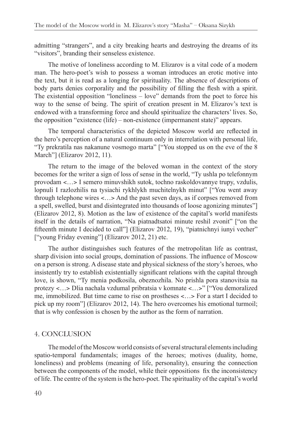admitting "strangers", and a city breaking hearts and destroying the dreams of its "visitors", branding their senseless existence.

The motive of loneliness according to M. Elizarov is a vital code of a modern man. The hero-poet's wish to possess a woman introduces an erotic motive into the text, but it is read as a longing for spirituality. The absence of descriptions of body parts denies corporality and the possibility of filling the flesh with a spirit. The existential opposition "loneliness – love" demands from the poet to force his way to the sense of being. The spirit of creation present in M. Elizarov's text is endowed with a transforming force and should spiritualize the characters' lives. So, the opposition "existence (life) – non-existence (impermanent state)" appears.

The temporal characteristics of the depicted Moscow world are reflected in the hero's perception of a natural continuum only in interrelation with personal life, "Ty prekratila nas nakanune vosmogo marta" ["You stopped us on the eve of the 8 March"] (Elizarov 2012, 11).

The return to the image of the beloved woman in the context of the story becomes for the writer a sign of loss of sense in the world, "Ty ushla po telefonnym" provodam <...> I semero minuvshikh sutok, tochno raskoldovannye trupy, vzdulis, lopnuli I razlozhilis na tysiachi rykhlykh muchitelnykh minut" ["You went away through telephone wires  $\lt$ ... > And the past seven days, as if corpses removed from a spell, swelled, burst and disintegrated into thousands of loose agonizing minutes"] (Elizarov 2012, 8). Motion as the law of existence of the capital's world manifests itself in the details of narration, "Na piatnadtsatoi minute reshil zvonit" ["on the fifteenth minute I decided to call"] (Elizarov 2012, 19), "piatnichnyi iunyi vecher" ["young Friday evening"] (Elizarov 2012, 21) etc.

The author distinguishes such features of the metropolitan life as contrast, sharp division into social groups, domination of passions. The influence of Moscow on a person is strong. A disease state and physical sickness of the story's heroes, who insistently try to establish existentially significant relations with the capital through love, is shown, "Ty menia podkosila, obeznozhila. No prishla pora stanovitsia na protezy <...> Dlia nachala vzdumal pribratsia v komnate <...>" ["You demoralized me, immobilized. But time came to rise on prostheses <...> For a start I decided to pick up my room"] (Elizarov 2012, 14). The hero overcomes his emotional turmoil; that is why confession is chosen by the author as the form of narration.

### 4. CONCLUSION

The model of the Moscow world consists of several structural elements including spatio-temporal fundamentals; images of the heroes; motives (duality, home, loneliness) and problems (meaning of life, personality), ensuring the connection between the components of the model, while their oppositions fix the inconsistency of life. The centre of the system is the hero-poet. The spirituality of the capital's world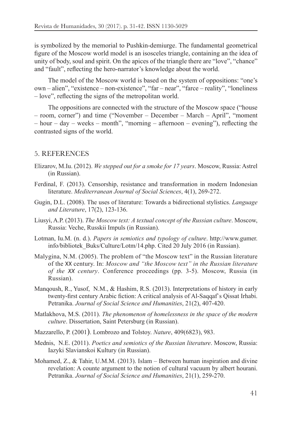is symbolized by the memorial to Pushkin-demiurge. The fundamental geometrical figure of the Moscow world model is an isosceles triangle, containing an the idea of unity of body, soul and spirit. On the apices of the triangle there are "love", "chance" and "fault", reflecting the hero-narrator's knowledge about the world.

The model of the Moscow world is based on the system of oppositions: "one's own – alien", "existence – non-existence", "far – near", "farce – reality", "loneliness  $-$ love", reflecting the signs of the metropolitan world.

The oppositions are connected with the structure of the Moscow space ("house - room, corner") and time ("November - December - March - April", "moment  $-$  hour  $-$  day  $-$  weeks  $-$  month", "morning  $-$  afternoon  $-$  evening"), reflecting the contrasted signs of the world.

### 5. REFERENCES

- Elizarov, M.Iu. (2012). We stepped out for a smoke for 17 years. Moscow, Russia: Astrel (in Russian).
- Ferdinal, F. (2013). Censorship, resistance and transformation in modern Indonesian literature. Mediterranean Journal of Social Sciences, 4(1), 269-272.
- Gugin, D.L. (2008). The uses of literature: Towards a bidirectional stylistics. *Language and Literature*
- Liusyi, A.P. (2013). The Moscow text: A textual concept of the Russian culture. Moscow, Russia: Veche, Russkii Impuls (in Russian).
- Lotman, Iu.M. (n. d.). Papers in semiotics and typology of culture. http://www.gumer. info/bibliotek\_Buks/Culture/Lotm/14.php. Cited 20 July 2016 (in Russian).
- Malygina, N.M. (2005). The problem of "the Moscow text" in the Russian literature of the XX century. In: Moscow and "the Moscow text" in the Russian literature *of the XX century*. Conference proceedings (pp. 3-5). Moscow, Russia (in Russian).
- Mangoush, R., Yusof, N.M., & Hashim, R.S. (2013). Interpretations of history in early twenty-first century Arabic fiction: A critical analysis of Al-Saqqaf's Qissat Irhabi. Petranika. Journal of Social Science and Humanities, 21(2), 407-420.
- Matlakhova, M.S. (2011). The phenomenon of homelessness in the space of the modern *culture*. Dissertation, Saint Petersburg (in Russian).
- Mazzarello, P. (2001). Lombrozo and Tolstoy. Nature, 409(6823), 983.
- Mednis, N.E. (2011). Poetics and semiotics of the Russian literature. Moscow, Russia: Iazyki Slavianskoi Kultury (in Russian).
- Mohamed, Z., & Tahir, U.M.M. (2013). Islam Between human inspiration and divine revelation: A counte argument to the notion of cultural vacuum by albert hourani. Petranika. Journal of Social Science and Humanities, 21(1), 259-270.